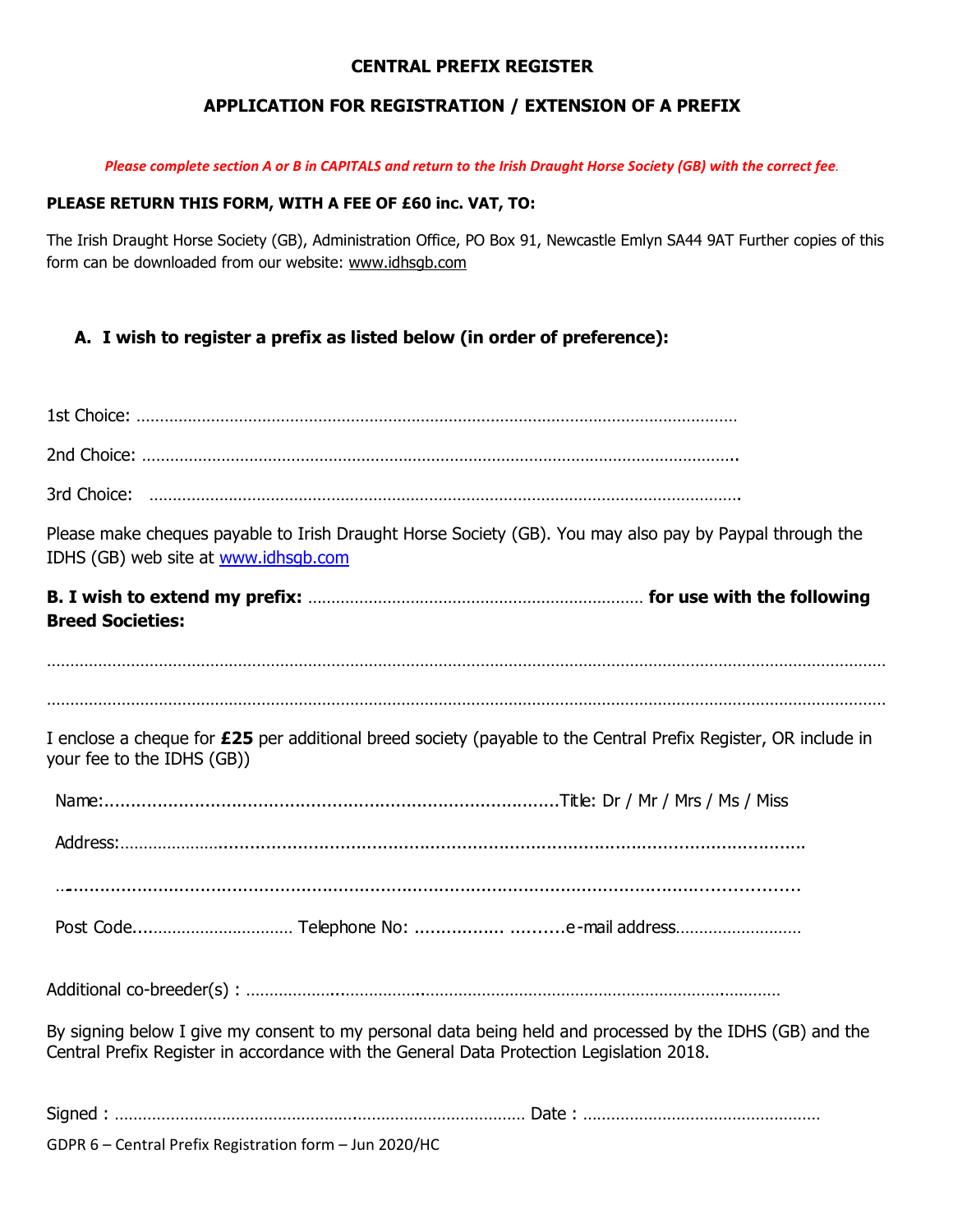## **CENTRAL PREFIX REGISTER**

# **APPLICATION FOR REGISTRATION / EXTENSION OF A PREFIX**

*Please complete section A or B in CAPITALS and return to the Irish Draught Horse Society (GB) with the correct fee.*

#### **PLEASE RETURN THIS FORM, WITH A FEE OF £60 inc. VAT, TO:**

The Irish Draught Horse Society (GB), Administration Office, PO Box 91, Newcastle Emlyn SA44 9AT Further copies of this form can be downloaded from our website: [www.idhsgb.com](http://www.idhsgb.com/)

**A. I wish to register a prefix as listed below (in order of preference):**

| Please make cheques payable to Irish Draught Horse Society (GB). You may also pay by Paypal through the<br>IDHS (GB) web site at www.idhsqb.com                                                      |
|------------------------------------------------------------------------------------------------------------------------------------------------------------------------------------------------------|
| <b>Breed Societies:</b>                                                                                                                                                                              |
|                                                                                                                                                                                                      |
| I enclose a cheque for £25 per additional breed society (payable to the Central Prefix Register, OR include in<br>your fee to the IDHS (GB))                                                         |
|                                                                                                                                                                                                      |
|                                                                                                                                                                                                      |
|                                                                                                                                                                                                      |
|                                                                                                                                                                                                      |
|                                                                                                                                                                                                      |
| By signing below I give my consent to my personal data being held and processed by the IDHS (GB) and the<br>Central Prefix Register in accordance with the General Data Protection Legislation 2018. |
|                                                                                                                                                                                                      |
| GDPR 6 - Central Prefix Registration form - Jun 2020/HC                                                                                                                                              |